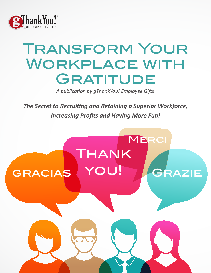

# Transform Your Workplace with GRATITUDE

A publication by *qThankYou! Employee Gifts* 

The Secret to Recruiting and Retaining a Superior Workforce, *Increasing Profits and Having More Fun!* 

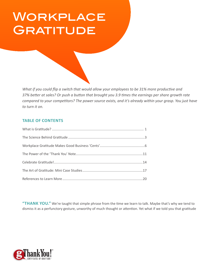# Workplace **GRATITUDE**

*What if you could flip a switch that would allow your employees to be 31% more productive and* 37% better at sales? Or push a button that brought you 3.9 times the earnings per share growth rate compared to your competitors? The power source exists, and it's already within your grasp. You just have to turn it on.

#### **TABLE OF CONTENTS**

"THANK YOU." We're taught that simple phrase from the time we learn to talk. Maybe that's why we tend to dismiss it as a perfunctory gesture, unworthy of much thought or attention. Yet what if we told you that gratitude

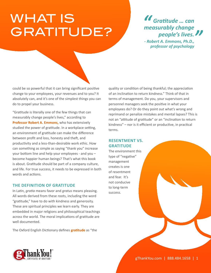# WHAT IS Gratitude? GRATITUDE?

*M* Gratitude ... can *measurably change* people's lives. *"* 

*- Robert A. Emmons, Ph.D.,* professor of psychology

could be so powerful that it can bring significant positive change to your employees, your revenues and to you? It absolutely can, and it's one of the simplest things you can do to propel your business.

"Gratitude is literally one of the few things that can measurably change people's lives," according to **[Professor Robert A. Emmons,](http://gratitudepower.net/science.htm)** who has extensively studied the power of gratitude. In a workplace setting, an environment of gratitude can make the difference between profit and loss, honesty and theft, and productivity and a less-than-desirable work ethic. How can something as simple as saying "thank you" increase your bottom line and help your employees - and you become happier human beings? That's what this book is about. Gratitude should be part of a company culture, and life. For true success, it needs to be expressed in both words and actions.

#### **THE DEFINITION OF GRATITUDE**

In Latin, *gratia* means favor and *gratus* means pleasing. All words derived from these roots, including the word "gratitude," have to do with kindness and generosity. These are spiritual principles we learn early. They are embedded in major religions and philosophical teachings across the world. The moral implications of gratitude are well documented.

The Oxford English Dictionary defines **gratitude** as "the

quality or condition of being thankful; the appreciation of an inclination to return kindness." Think of that in terms of management. Do you, your supervisors and personnel managers seek the positive in what your employees do? Or do they point out what's wrong and reprimand or penalize mistakes and mental lapses? This is not an "attitude of gratitude" or an "inclination to return kindness" – nor is it efficient or productive, in practical terms.

#### **RESENTMENT VS. GRATITUDE**

The environment this type of "negative" management creates is one of resentment and fear. It's not conducive to long-term success.

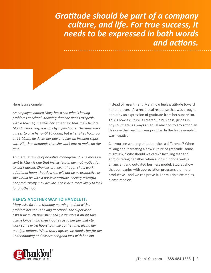### Gratitude should be part of a company culture, and life. For true success, it needs to be expressed in both words *and actions.*

Here is an example:

An employee named Mary has a son who is having problems at school. Knowing that she needs to speak with a teacher, she tells her supervisor that she'll be late *Monday morning, possibly by a few hours. The supervisor* agrees to give her until 10:00am, but when she shows up *at 11:00am, he docks her pay and files an incident report* with HR, then demands that she work late to make up the time.

This is an example of negative management. The message sent to Mary is one that instills fear in her, not motivation to work harder. Chances are, even though she'll work *additional hours that day, she will not be as productive as she would be with a positive attitude. Feeling resentful, her productivity may decline. She is also more likely to look for another job.* 

#### **HERE'S ANOTHER WAY TO HANDLE IT:**

*Mary asks for time Monday morning to deal with a* problem her son is having at school. The supervisor asks how much time she needs, estimates it might take  $\alpha$  little longer, and then inquires as to her flexibility to work some extra hours to make up the time, giving her *multiple options. When Mary agrees, he thanks her for her understanding and wishes her good luck with her son.* 



Instead of resentment, Mary now feels gratitude toward her employer. It's a reciprocal response that was brought about by an expression of gratitude from her supervisor. This is how a culture is created. In business, just as in physics, there is always an equal reaction to any action. In this case that reaction was positive. In the first example it was negative.

Can you see where gratitude makes a difference? When talking about creating a new culture of gratitude, some might ask, "Why should we care?" Instilling fear and administering penalties when a job isn't done well is an ancient and outdated business model. Studies show that companies with appreciation programs are more productive - and we can prove it. For multiple examples, please read on.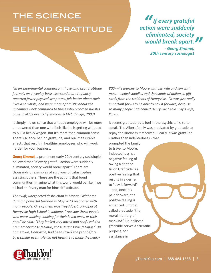## **THE SCIENCE BEHIND GRATITUDE**

*" M* If every grateful **action were suddenly**  $eliminated, society$ would break apart.

**- Georg Simmel,** 20th century sociologist

"In an experimental comparison, those who kept gratitude *journals on a weekly basis exercised more regularly,* reported fewer physical symptoms, felt better about their *lives as a whole, and were more optimistic about the* upcoming week compared to those who recorded hassles or neutral life events." (Emmons & McCullough, 2003)

It simply makes sense that a happy employee will be more empowered than one who feels like he is getting whipped to pull a heavy wagon. But it's more than common sense. There's science behind gratitude, and real measurable effects that result in healthier employees who will work harder for your business.

[Georg Simmel](http://www.egs.edu/library/georg-simmel/biography/), a prominent early 20th century sociologist, believed that "If every grateful action were suddenly eliminated, society would break apart." There are thousands of examples of survivors of catastrophes assisting others. These are the actions that bond communities. Imagine what this world would be like if we all had an "every man for himself" attitude.

The swift, unexpected destruction in Moore, Oklahoma during a powerful tornado in May 2013 resonated with *many people. One of them was Troy Albert, principal at* Henryville High School in Indiana. "You saw those people who were walking, looking for their loved ones, or their pets," he said. "They looked very dazed and confused and *I* remember those feelings, those exact same feelings." His *hometown, Henryville, had been struck the year before* by a similar event. He did not hesitate to make the nearly

*800-mile journey to Moore with his wife and son with much-needed supplies and thousands of dollars in gift* cards from the residents of Henryville. "It was just really *important for us to be able to pay it forward, because* so many people had helped Henryville," said Troy's wife, Karen.

It seems gratitude puts fuel in the psychic tank, so to speak. The Albert family was motivated by gratitude to repay the kindness it received. Clearly, it was gratitude - rather than indebtedness - that

prompted the family to travel to Moore. Indebtedness is a negative feeling of owing a debt or favor. Gratitude is a positive feeling that results in a desire to "pay it forward"  $-$  and, once it's paid forward, the positive feeling is enhanced. Simmel called gratitude "the moral memory of mankind." He believed gratitude serves a scientific purpose, for assistance in

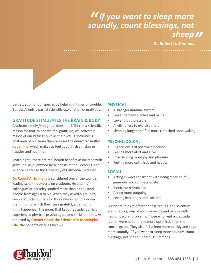# *<i>II* If you want to sleep more *II* If you want to sleep more<br>soundly, count blessings, not *<i>Sheep 11*<br><sup>A. Emmons</sup>

*- Dr. Robert A. Emmons* 

perpetuation of our species by helping in times of trouble. But that's only a partial scientific explanation of gratitude.

#### **GRATITUDE STIMULATES THE BRAIN & BODY**

Gratitude simply *feels good*, doesn't it? There's a scientific reason for that. When we feel gratitude, we activate a region of our brain known as the *nucleus accumbens*. That area of our brain then releases the neurotransmitter **dopamine**, which makes us feel good. It also makes us happier and healthier.

That's right - there are real health benefits associated with gratitude, as quantified by scientists at the Greater Good Science Center at the University of California, Berkeley.

**[Dr. Robert A. Emmons](http://psychology.ucdavis.edu/labs/emmons/PWT/index.cfm)** is considered one of the world's leading scientific experts on gratitude. He and his colleagues at Berkeley studied more than a thousand people from ages 8 to 80. When they asked a group to keep gratitude journals for three weeks, writing down the things for which they were grateful, an amazing thing happened. The group that kept gratitude journals experienced physical, psychological and social benefits. As reported by Greater Good, the Science of a Meaningful **[Life](http://greatergood.berkeley.edu/)**, the benefits were as follows:

#### **PHYSICAL**

- A stronger immune system.
- Fewer perceived aches and pains.
- Lower blood pressure.
- A willingness to exercise more.
- Sleeping longer and feel more refreshed upon waking.

#### **PSYCHOLOGICAL**

- Higher levels of positive emotions.
- Feeling more alert and alive.
- Experiencing more joy and pleasure.
- Feeling more optimistic and happy.

#### **SOCIAL**

- Acting in ways consistent with being more helpful, generous and compassionate.
- Being more forgiving.
- Acting more outgoing.
- Feeling less lonely and isolated.

Further studies reinforced these results. The scientists examined a group of polio survivors and people with neuromuscular problems. Those who kept a gratitude journal were happier and more optimistic than the control group. They also fell asleep more quickly and slept more soundly. "If you want to sleep more soundly, count blessings, not sheep," noted Dr. Emmons.

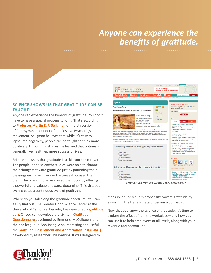### *Anyone can experience the* benefits of gratitude.

#### **SCIENCE SHOWS US THAT GRATITUDE CAN BE TAUGHT**

Anyone can experience the benefits of gratitude. You don't have to have a special propensity for it. That's according to **Professor Martin E. P. Seligman** of the University of Pennsylvania, founder of the Positive Psychology movement. Seligman believes that while it's easy to lapse into negativity, people can be taught to think more positively. Through his studies, he learned that optimists generally live healthier, more successful lives.

Science shows us that gratitude is a skill you can cultivate. The people in the scientific studies were able to channel their thoughts toward gratitude just by journaling their blessings each day. It worked because it focused the brain. The brain in turn reinforced that focus by offering a powerful and valuable reward: dopamine. This virtuous cycle creates a continuous cycle of gratitude.

Where do you fall along the gratitude spectrum? You can easily find out. The Greater Good Science Center at the University of California, Berkeley has developed a **gratitude guiz**. Or you can download the six-item Gratitude **Questionnaire** developed by Emmons, McCullough, and their colleague Jo-Ann Tsang. Also interesting and useful: the Gratitude, Resentment and Appreciation Test (GRAT), developed by researcher Phil Watkins. It was designed to



Gratitude Quiz from The Greater Good Science Center

measure an individual's propensity toward gratitude by examining the traits a grateful person would exhibit.

Now that you know the science of gratitude, it's time to explore the effect of it in the workplace—and how you can use it to help employees at all levels, along with your revenue and bottom line.

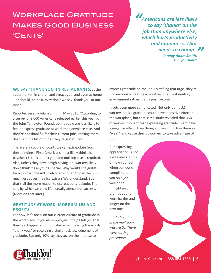### WORKPLACE GRATITUDE Makes Good Business 'CENTS'

*M* Americans are less likely to say 'thanks' on the job than anywhere else, which hurts productivity **and happiness. That** *Phone of the Change.*<br> **Paramy Adam Smith,**<br>
U.S. journalist *- Jeremy Adam Smith,* 

*U.S. journalist* 

**WE SAY 'THANK YOU' IN RESTAURANTS**, at the supermarket, in church and synagogue, and even at home - or should, at least. Why don't we say 'thank you' at our iobs?

Reported Jeremy Adam Smith in May 2013, "According to a survey of 2,000 Americans released earlier this year by the John Templeton Foundation, people are less likely to feel or express gratitude at work than anyplace else. And they're not thankful for their current jobs, ranking them dead last in a list of things they're grateful for."

There are a couple of points we can extrapolate from these findings. First, Americans most likely think their paycheck is their 'thank you' and nothing else is required. Also, unless they have a high paying job, workers likely don't think it's anything special. Why would I be grateful for a job that doesn't stretch far enough to pay the bills, much less cover the nice extras? We understand. But that's all the more reason to express our gratitude. The lens by which we view life actually affects our success. (More on that later.)

#### **GRATITUDE AT WORK: MORE SMILES AND PROFITS**

For now, let's focus on our current culture of gratitude in the workplace. If you ask employees, they'll tell you that they feel happier and motivated when hearing the words, "thank you," or receiving a similar acknowledgement of gratitude. But only 10% say they act on the impulse to

express gratitude on the job. By stifling that urge, they're unconsciously creating a negative, or at best neutral, environment rather than a positive one.

It gets even more complicated. Not only don't U.S. workers realize gratitude could have a positive effect in the workplace, but that same study revealed that 35% of workers thought that expressing gratitude might have a negative effect. They thought it might portray them as "weak" and cause their coworkers to take advantage of them.

But expressing appreciation is not a weakness. Think of how you feel when someone compliments you on a job well done. It might just prompt you to work harder and longer on the next one.

Brad's first day *in the mailroom* was hectic. There were sorting procedures

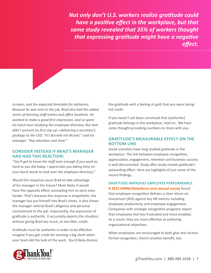*Not only don't U.S. workers realize gratitude could have a positive effect in the workplace, but that same study revealed that 35% of workers thought* that expressing gratitude might have a negative effect.

to learn, and the expected timetable for deliveries. Because he was new to the job, Brad also had the added *stress of learning staff names and office locations. He* wanted to make a good first impression, and so spent *his lunch hour studying the employee directory. But that* didn't prevent his first slip-up-delivering a secretary's package to the CEO. "It's Burnett not Brunet," said his *manager.* "Pay attention next time."

#### **CONSIDER INSTEAD IF BRAD'S MANAGER HAD HAD THIS REACTION:**

"You'll get to know the staff soon enough if you work as *hard as you did today. I appreciate you taking time on* your lunch break to look over the employee directory."

Would this response cause Brad to take advantage of his manager in the future? Most likely, it would have the opposite effect, prompting him to work even harder. That's because the response is empathetic; the manager has put himself into Brad's shoes. It also shows the manager noticed Brad's diligence and personal commitment to the job. Importantly, the expression of gratitude is authentic. It accurately depicts the situation, without giving Brad too much, or too little, credit.

Gratitude must be authentic in order to be effective. Imagine if you got credit for winning a big client when your team did the bulk of the work. You'd likely dismiss the gratitude with a feeling of guilt that you were taking full credit.

If you haven't yet been convinced that (authentic) gratitude belongs in the workplace, read on. We have some thought-provoking numbers to share with you.

#### **GRATITUDE'S MEASURABLE EFFECT ON THE BOTTOM LINE**

Social scientists have long studied gratitude in the workplace. The link between employee recognition, appreciation, engagement, retention and business success is well documented. Study after study reveals gratitude's astounding effect. Here are highlights of just some of the recent findings.

#### **GRATITUDE IMPROVES EMPLOYEE PERFORMANCE.** A 2012 SHRM/Globoforce semi-annual survey found

that employee recognition delivers a clear return on investment (ROI) against key HR metrics including employee productivity and employee engagement. Companies with strategic recognition programs report that employees feel less frustrated and more enabled. As a result, they are more effective at achieving organizational objectives.

When employees are encouraged to both give and receive formal recognition, there's another benefit, too.

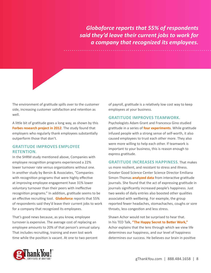Globoforce reports that 55% of respondents *said they'd leave their current jobs to work for*  $a$  company that recognized its employees.

The environment of gratitude spills over to the customer side, increasing customer satisfaction and retention as well.

A little bit of gratitude goes a long way, as shown by this **Forbes research project in 2012**. The study found that employers who regularly thank employees substantially outperform those that don't.

#### **GRATITUDE IMPROVES EMPLOYEE RETENTION.**

In the SHRM study mentioned above, Companies with employee recognition programs experienced a 22% lower turnover rate versus organizations without one. In another study by Bersin & Associates, "Companies with recognition programs that were highly effective at improving employee engagement have 31% lower voluntary turnover than their peers with ineffective recognition programs." In addition, gratitude seems to be an effective recruiting tool. **Globoforce** reports that 55% of respondents said they'd leave their current jobs to work for a company that recognized its employees.

That's good news because, as you know, employee turnover is expensive. The average cost of replacing an employee amounts to 20% of that person's annual salary. That includes recruiting, training and even lost work time while the position is vacant. At one to two percent

of payroll, gratitude is a relatively low cost way to keep employees at your business.

#### **GRATITUDE IMPROVES TEAMWORK.**

Psychologists Adam Grant and Francesca Gino studied gratitude in a series of **four experiments**. While gratitude infused people with a strong sense of self-worth, it also caused employees to trust each other more. They also were more willing to help each other. If teamwork is important to your business, this is reason enough to express gratitude.

#### **GRATITUDE INCREASES HAPPINESS** That makes

us more resilient, and resistant to stress and illness. Greater Good Science Center Science Director Emiliana Simon-Thomas **analyzed data** from interactive gratitude journals. She found that the act of expressing gratitude in journals significantly increased people's happiness. Just two weeks of daily entries also boosted other qualities associated with wellbeing. For example, the group reported fewer headaches, stomachaches, coughs or sore throats, less congestion and less stress.

Shawn Achor would not be surprised to hear that. In his TED Talk, "The Happy Secret to Better Work," Achor explains that the lens through which we view life determines our happiness, and our level of happiness determines our success. He believes our brain in positive

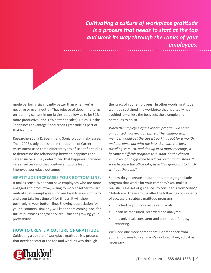*Cultivating a culture of workplace gratitude is a process that needs to start at the top* and work its way through the ranks of your employees.

mode performs significantly better than when we're negative or even neutral. That release of dopamine turns on learning centers in our brains that allow us to be 31% more productive (and 37% better at sales). He calls it the "happiness advantage," and credits gratitude as part of that formula.

Researchers Julia K. Boehm and Sonja Lyubomirsky agree. Their 2008 study published in the Journal of Career Assessment used three different types of scientific studies to determine the relationship between happiness and career success. They determined that happiness precedes career success and that positive emotions lead to improved workplace outcomes.

#### **GRATITUDE INCREASES YOUR BOTTOM LINE.**

It makes sense. When you have employees who are more engaged and productive, willing to work together toward mutual goals—employees who are loyal to your company and even take less time off for illness, it will show positively in your bottom line. Showing appreciation for your customers, similarly, will keep them coming back for future purchases and/or services-further growing your profitability.

#### **HOW TO CREATE A CULTURE OF GRATITUDE**

Cultivating a culture of workplace gratitude is a process that needs to start at the top and work its way through

the ranks of your employees. In other words, gratitude won't be sustained in a workforce that habitually has avoided it—unless the boss sets the example and continues to do so.

*When the Employee of the Month program was first* announced, workers got excited. The winning staff *member would get the closest parking spot for a month,* and one lunch out with the boss. But with the boss traveling so much, and tied up in so many meetings, it *became a difficult program to sustain. So the chosen* employee got a gift card to a local restaurant instead. It *soon became the office joke, as in "I'm going out to lunch* without the boss."

So how do you create an authentic, strategic gratitude program that works for your company? You make it realistic. One set of guidelines to consider is from SHRM/ Globoforce. These groups offer the following components of successful strategic gratitude programs:

- It is tied to your core values and goals.
- It can be measured, recorded and analyzed.
- It is universal, consistent and centralized for easy reporting.

We'll add one more component. Get feedback from your employees to see how it's working. Then, adjust as necessary.

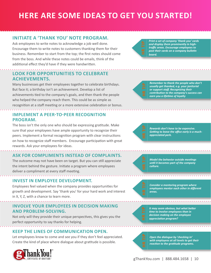## **HERE ARE SOME IDEAS TO GET YOU STARTED!**

### **INITIATE A 'THANK YOU' NOTE PROGRAM.**

Ask employees to write notes to acknowledge a job well done. Encourage them to write notes to customers thanking them for their business. Remember to start from the top; the first notes should come from the boss. And while these notes could be emails, think of the additional effect they'd have if they were handwritten.

### **LOOK FOR OPPORTUNITIES TO CELEBRATE ACHIEVEMENTS.**

Many businesses get their employees together to celebrate birthdays. But face it; a birthday isn't an achievement. Develop a list of achievements tied to the company's goals, and then thank the people who helped the company reach them. This could be as simple as recognition at a staff meeting or a more extensive celebration or bonus.

#### **IMPLEMENT A PEER-TO-PEER RECOGNITION PROGRAM.**

The boss isn't the only one who should be expressing gratitude. Make sure that your employees have ample opportunity to recognize their peers. Implement a formal recognition program with clear instructions on how to recognize staff members. Encourage participation with great rewards. Ask your employees for ideas.

#### **ASK FOR COMPLIMENTS INSTEAD OF COMPLAINTS.**

The outcome may not have been on target. But you can still appreciate the intent behind the gesture. Initiate a program where employees deliver a compliment at every staff meeting.

#### **INVEST IN EMPLOYEE DEVELOPMENT.**

Employees feel valued when the company provides opportunities for growth and development. Say 'thank you' for your hard work and interest in X, Y, Z, with a chance to learn more.

#### **INVOLVE YOUR EMPLOYEES IN DECISION MAKING AND PROBLEM-SOLVING.**

Not only will they provide their unique perspectives, this gives you the perfect opportunity to say thanks for helping.

#### **KEEP THE LINES OF COMMUNICATION OPEN.**

Let employees know to come and see you if they don't feel appreciated. Create the kind of place where dialogue about gratitude is possible.



*Print a set of company 'thank you' cards and display them prominently in hightraffic areas. Encourage employees to* post their cards on a company bulletin board.

**Remember to thank the people who don't** *usually get thanked, e.g. your janitorial* or support staff. Recognizing their *COntribution to the company's success can* **earn you a lifetime of loyalty** 

*Rewards don't have to be expensive.* **Getting to leave the office early is a much***appreciated perk.* 



*Model the behavior outside meetings until it becomes part of the company* culture.

*Consider a mentoring program where*  $employees$  mentor each other in different areas.

*/t may seem obvious, but what better time to involve employees than in* decision making on the employee *appreciation program?* 

**Open the dialogue by 'checking in'** with employees at all levels to get their reaction to the gratitude programs.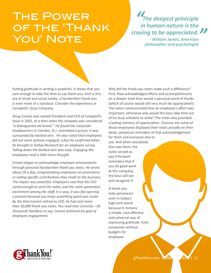# The Power OF THE 'THANK YOU' NOTE

*" " The deepest priniciple in human nature is the* craving to be appreciated. *- William James, American* philosopher and psychologist

Putting gratitude in writing is powerful. It shows that you care enough to take the time to say thank you. And in this era of email and social media, a handwritten thank you is even more of a standout. Consider the experience at Campbell's Soup Company.

*Doug Conant was named President and CEO of Campbell's* Soup in 2001, at a time when the company was considered "a beleaguered old brand." He found the corporate *headquarters in Camden, N.J. resembled a prison; it was* surrounded by barbed wire. He also noted that employees did not seem actively engaged, a fact he confirmed when *he brought in Gallup Research for an employee survey.* Taking down the barbed wire was easy. Engaging the *employees took a little more thought.* 

Conant began to acknowledge employee achievements through personal handwritten thank you notes. He wrote *about 20 a day, congratulating employees on promotions* or noting specific contributions they made to the business. The impact was powerful. Employees saw that the CEO cared enough to send the notes, and the notes generated excitement among the staff. In a way, it was like opening  $a$  present because you knew something good was inside. By the time Conant retired as CEO, he had sent more *than 30,000 thank you notes. You read that correctly-30* thousand! Needless to say, Conant achieved his goal of  $emply$ employee engagement.

Why did the thank you notes make such a difference? First, they acknowledged efforts and accomplishments on a deeper level than would a personal word of thanks (which of course would still very much be appreciated!). The notes communicated that an employee's effort was important; otherwise why would the boss take time out of his busy schedule to write? The notes also provided a lasting memory of appreciation. Chances are some of those employees displayed their notes proudly on their desks, perpetual reminders of that acknowledgement

for them and everyone else to see. And when everybody else saw them, the notes served as pav-it-forward reminders that if you do good work at this company, the boss will see and recognize it.

A thank you note perseveres even in today's high-tech world because it remains a simple, cost-effective and universal way of expressing gratitude. Even companies without budgets for employee



gThankYou.com  $\sqrt{888}$ ,  $\sqrt{658}$  | 11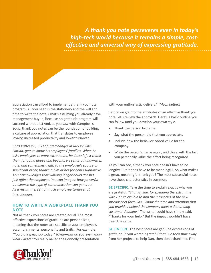A thank you note perseveres even in today's *high-tech world because it remains a simple, cost* $eff$ *effective and universal way of expressing gratitude.* 

appreciation can afford to implement a thank you note program. All you need is the stationery and the will and time to write the note. (That's assuming you already have management buy-in, because no gratitude program will succeed without it.) And, as you saw with Campbell's Soup, thank you notes can be the foundation of building a culture of appreciation that translates to employee loyalty, increased productivity and lower turnover.

*Chris Patterson, CEO of Interchanges in Jacksonville,* Florida, gets to know his employees' families. When he asks employees to work extra hours, he doesn't just thank them for going above and beyond. He sends a handwritten note, and sometimes a gift, to the employee's spouse or significant other, thanking him or her for being supportive. This acknowledges that working longer hours doesn't just affect the employee. You can imagine how powerful  $a$  response this type of communication can generate. As a result, there's not much employee turnover at *<i>Interchanges.* 

#### **HOW TO WRITE A WORKPLACE THANK YOU NOTE**

Not all thank you notes are created equal. The most effective expressions of gratitude are personalized, meaning that the notes are specific to your employee's accomplishments, personality and traits. For example: "You did a great job today!" (Okay-but do you even know *what I did?)* "You really nailed the Connolly presentation

with your enthusiastic delivery." (Much better.)

Before we go into the attributes of an effective thank you note, let's review the approach. Here's a basic outline you can follow until you develop your own style.

- Thank the person by name.
- Say what the person did that you appreciate.
- Include how the behavior added value for the company.
- Write the person's name again, and close with the fact you personally value the effort being recognized.

As you can see, a thank you note doesn't have to be lengthy. But it does have to be meaningful. So what makes a great, meaningful thank you? The most successful notes have these characteristics in common.

**BE SPECIFIC.** Take the time to explain exactly why you are grateful. "Thanks, Sue, for spending the extra time with Dan to explain to him the intricacies of the new spreadsheet formulas. *I know the time and attention that* you provided helped the company meet a demanding *customer deadline.*" The writer could have simply said, "Thanks for your help." But the impact wouldn't have been the same.

**BE SINCERE.** The best notes are genuine expressions of gratitude. If you weren't grateful that Sue took time away from her projects to help Dan, then don't thank her. Find

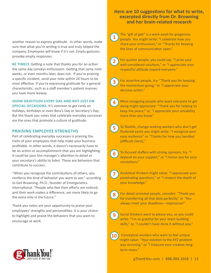another reason to express gratitude. In other words, make sure that what you're writing is true and truly helped the company. Employees will know if it's not. Empty gestures provoke empty responses.

**BE TIMELY.** Getting a note that thanks you for an action the same day conveys enthusiasm. Getting that same note weeks, or even months later, does not. If you're praising a specific incident, send your note within 24 hours to be most effective. If you're expressing gratitude for a general characteristic, such as a staff member's patient manner, you have more leeway.

**SHOW GRATITUDE EVERY DAY, AND NOT JUST ON** 

**SPECIAL OCCASIONS.** It's common to get cards on holidays, birthdays or even Boss's Day or Secretary's Day. But the thank you notes that celebrate everyday successes are the ones that promote a culture of gratitude.

#### **PRAISING EMPLOYEE STRENGTHS**

Part of celebrating everyday successes is praising the traits of your employees that help make your business profitable. In other words, it doesn't necessarily have to be an action or accomplishment that you are highlighting. It could be your line manager's attention to detail or your secretary's ability to listen. These are behaviors that contribute to success.

"When you recognize the contributions of others, you reinforce the kind of behavior you want to see," according to Geil Browning, Ph.D., founder of Emergenetics International. "People who feel their efforts are noticed, and their work makes a difference, are more likely to go the extra mile in the future."

Thank you notes are your opportunity to praise your employees' strengths and personalities. It is your choice to highlight and praise the behaviors that you want to encourage at work.

#### **Here are 10 suggestions for what to write, excerpted directly from Dr. Browning And her brain-related research**

The "gift of gab" is a work asset for gregarious people. You might write: "I celebrate how you share your enthusiasm," or "Thanks for keeping the lines of communication open." **1**

**2**

For quieter people, you could say: "I prize your well-considered solutions," or "I appreciate your respectful attitude toward everyone."

**3**

For assertive people, try: "Thank you for keeping the momentum going," or "I appreciate your decisive action."

**4**

More easygoing people who want everyone to get along might appreciate: "Thank you for helping to keep the peace," or, "I appreciate your amiability more than you know."

- To flexible, change-seeking workers who don't get flustered easily you might write: "I recognize your easy resilience" or "Thanks for how you handled [difficult client]." **5**
- **6**

To focused staffers with strong opinions, try: "I depend on your support," or "I honor you for your convictions."

**7**

Analytical thinkers might value: "I appreciate your penetrating questions," or "I respect the depth of your knowledge."

- For detail-oriented people, consider: "Thank you for transferring all that data perfectly," or "You always meet your deadlines-impressive!"
- **9**

**8**

Social thinkers want to please you, so you could write: "I'm so grateful for your team building skills," or, "I couldn't have done it without you."

Conceptual workers who want to feel unique might value: "Your solution to the XYZ problem was stunning," or "I treasure your creative longterm views." **10**



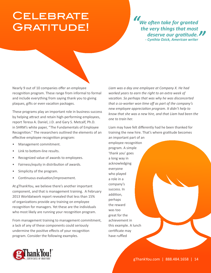## **CELEBRATE** GRATITUDE!

*" "*  **We often take for granted** the very things that most deserve our gratitude. **- Cynthia Ozick, American writer** 

Nearly 9 out of 10 companies offer an employee recognition program. These range from informal to formal and include everything from saying thank you to giving plaques, gifts or even vacation packages.

These programs play an important role in business success by helping attract and retain high-performing employees, report Teresa A. Daniel, J.D. and Gary S. Metcalf, Ph.D. in SHRM's white paper, "The Fundamentals of Employee Recognition." The researchers outlined the elements of an effective employee recognition program:

- Management commitment.
- Link to bottom-line results.
- Recognized value of awards to employees.
- Fairness/equity in distribution of awards.
- Simplicity of the program.
- Continuous evaluation/improvement.

At gThankYou, we believe there's another important component, and that is management training. A February 2013 Worldatwork report revealed that less than 15% of organizations provide any training on employee recognition for managers. Yet these are the individuals who most likely are running your recognition program.

From management training to management commitment, a lack of any of these components could seriously undermine the positive effects of your recognition program. Consider the following examples.

Liam was a day one employee at Company X. He had worked years to earn the right to an extra week of *vacation. So perhaps that was why he was disconcerted that a co-worker won time off as part of the company's new employee appreciation program. It didn't help to know that she was a new hire, and that Liam had been the <i>One* to train her.

Liam may have felt differently had he been thanked for training the new hire. That's where gratitude becomes an important part of an

employee recognition program. A simple 'thank you' goes a long way in acknowledging everyone who played a role in a company's success. In addition, perhaps the reward was too great for the achievement in this example. A lunch certificate may have ruffled

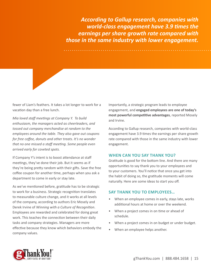According to Gallup research, companies with **world-class engagement have 3.9 times the**  $\epsilon$ arnings per share growth rate compared with *those in the same industry with lower engagement.* 

fewer of Liam's feathers. It takes a lot longer to work for a vacation day than a free lunch.

*Mia loved staff meetings at Company Y. To build* enthusiasm, the managers acted as cheerleaders, and tossed out company merchandise at random to the employees around the table. They also gave out coupons *for free coffee, donuts and other treats. It's no wonder* that no one missed a staff meeting. Some people even arrived early for coveted spots.

If Company Y's intent is to boost attendance at staff meetings, they've done their job. But it seems as if they're being pretty random with their gifts. Save the free coffee coupon for another time, perhaps when you ask a department to come in early or stay late.

As we've mentioned before, gratitude has to be strategic to work for a business. Strategic recognition translates to measurable culture change, and it works at all levels of the company, according to authors Eric Mosely and Derek Irvine of Winning with a Culture of Recognition. Employees are rewarded and celebrated for doing great work. This teaches the connection between their daily tasks and company strategies. Managers are more effective because they know which behaviors embody the company values.

Importantly, a strategic program leads to employee engagement, and engaged employees are one of today's **wost powerful competitive advantages**, reported Mosely and Irvine.

According to Gallup research, companies with world-class engagement have 3.9 times the earnings per share growth rate compared with those in the same industry with lower engagement.

#### **WHEN CAN YOU SAY THANK YOU?**

Gratitude is good for the bottom line. And there are many opportunities to say thank you to your employees and to your customers. You'll notice that once you get into the habit of doing so, the gratitude moments will come naturally. Here are some ideas to start you off.

#### **SAY THANK YOU TO EMPLOYEES…**

- When an employee comes in early, stays late, works additional hours at home or over the weekend.
- When a project comes in on time or ahead of schedule.
- When a project comes in on budget or under budget.
- When an employee helps another.

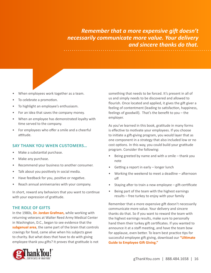*Remember that a more expensive gift doesn't necessarily communicate more value. Your delivery <u>And sincere thanks do that.</u>* 

- When employees work together as a team.
- To celebrate a promotion.
- To highlight an employee's enthusiasm.
- For an idea that saves the company money.
- When an employee has demonstrated loyalty with time served to the company.
- For employees who offer a smile and a cheerful attitude.

#### **SAY THANK YOU WHEN CUSTOMERS…**

- Make a substantial purchase.
- Make any purchase.
- Recommend your business to another consumer.
- Talk about you positively in social media.
- Have feedback for you, positive or negative.
- Reach annual anniversaries with your company.

In short, reward any behaviors that you want to continue with your expression of gratitude.

#### **THE ROLE OF GIFTS**

In the 1980s, Dr. Jordan Grafman, while working with returning veterans at Walter Reed Army Medical Center in Washington, D.C., began to see evidence that the subgenual area, the same part of the brain that controls cravings for food, came alive when his subjects gave to charity. But what does that have to do with giving employee thank you gifts? It proves that gratitude is not



something that needs to be forced. It's present in all of us and simply needs to be discovered and allowed to flourish. Once located and applied, it gives the gift giver a feeling of contentment (leading to satisfaction, happiness, feelings of goodwill). That's the benefit to you - the employer.

As you've learned in this book, gratitude in many forms is effective to motivate your employees. If you choose to initiate a gift-giving program, you would layer that as one component in a strategy that also included low or no cost options. In this way, you could build your gratitude program. Consider the following:

- Being greeted by name and with a smile thank you note
- Getting a report in early longer lunch
- Working the weekend to meet a deadline afternoon off
- Staying after to train a new employee gift-certificate
- Being part of the team with the highest earnings results – free turkey to enjoy with your family

Remember that a more expensive gift doesn't necessarily communicate more value. Your delivery and sincere thanks do that. So if you want to reward the team with the highest earnings results, make sure to personally hand them their turkey gift certificates. If you wanted to announce it at a staff meeting, and have the team bow for applause, even better. To learn best practice tips for successful employee gift giving, download our "Ultimate **Guide to Employee Gift Giving."**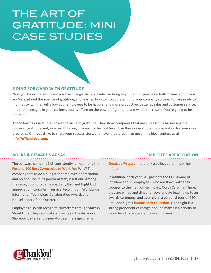### THE ART OF GRAITIUDE: MI<br>CASE STITDIES GRATITUDE: MINI CASE STUDIES

#### **GOING FORWARD WITH GRATITUDE**

Now you know the significant positive change that gratitude can bring to your employees, your bottom line, and to you. You've explored the science of gratitude, and learned how to incorporate it into your company culture. You are ready to flip that switch that will allow your employees to be happier and more productive, better at sales and customer service, and more engaged in your business success. Turn on the power of gratitude and watch the results. You're going to be amazed!

The following case studies prove the value of gratitude. They show companies that are successfully harnessing the power of gratitude and, as a result, taking business to the next level. Use these case studies for inspiration for your own programs. Or if you'd like to share your success story, and have it featured in an upcoming blog, contact us at **info@gThankYou.com.** 

#### **ROCKS & REWARDS AT SAS EMPLOYEE APPRECIATION**

The software company SAS consistently ranks among the Fortune 100 Best Companies to Work For. Why? The company sets aside a budget for employee appreciation and no one, including janitorial staff, is left out. Among the recognition programs are: Early Bird and Night Owl appreciation, Long-Term Service Recognition, Worldwide Information Technology Collaboration Award, and Housekeeper of the Quarter.

Employees also can recognize coworkers through Starfish Shout Outs. They can post comments on the division's Sharepoint site, send a peer-to-peer message or email

**GreatJob@sas.com** to thank a colleague for his or her efforts.

In addition, each year SAS presents the CEO Award of Excellence to 25 employees, who are flown with their spouses to the main office in Cary, North Carolina. There, they are wined and dined for several days leading up to an awards ceremony, and even given a personal tour of CEO Jim Goodnight's *famous rock collection*. Goodnight is a strong proponent of recognition; he makes it a priority to be on hand to recognize these employees.

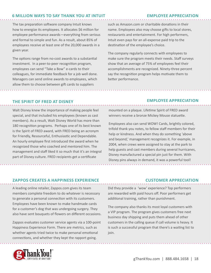#### **6 MILLION WAYS TO SAY THANK YOU AT INTUIT**

#### **EMPLOYEE APPRECIATION**

The tax preparation software company Intuit knows how to energize its employees. It allocates \$6 million for employee performance awards—everything from serious and formal to simple and fun. As a result, about 85% of employees receive at least one of the 20,000 awards in a given year.

The options range from no-cost awards to a substantial investment. In a peer-to-peer recognition program, employees can send "Take a Bow" e-cards to their colleagues, for immediate feedback for a job well done. Managers can send online awards to employees, which allow them to choose between gift cards to suppliers

such as Amazon.com or charitable donations in their name. Employees also may choose gifts to local stores, restaurants and entertainment. For high performers, Intuit even pays for an all-expense paid trip to the destination of the employee's choice.

The company regularly connects with employees to make sure the program meets their needs. Staff surveys show that an average of 75% of employees feel their accomplishments are recognized. Ninety-three percent say the recognition program helps motivate them to better performance.

#### **THE SPIRIT OF FRED AT DISNEY**

Walt Disney knew the importance of making people feel special, and that included his employees (known as cast members). As a result, Walt Disney World has more than 180 recognition programs. Perhaps one of its best known is the Spirit of FRED award, with FRED being an acronym for Friendly, Resourceful, Enthusiastic and Dependable. An hourly employee first introduced the award when he recognized those who coached and mentored him. The management and staff liked it so much that it's an integral part of Disney culture. FRED recipients get a certificate

#### **EMPLOYEE APPRECIATION**

mounted on a plaque. Lifetime Spirit of FRED award winners receive a bronze Mickey Mouse statuette.

Employees also can send WOW! Cards, brightly colored, trifold thank you notes, to fellow staff members for their help or kindness. And when they do something 'above and beyond,' management recognizes it. For example, in 2004, when crews were assigned to stay at the park to help guests and cast members during several hurricanes, Disney manufactured a special pin just for them. With Disney pins always in demand, it was a powerful tool!

#### **ZAPPOS CREATES A HAPPINESS EXPERIENCE CUSTOMER APPRECIATION**

A leading online retailer, Zappos.com gives its team members complete freedom to do whatever is necessary to generate a personal connection with its customers. Employees have been known to make handmade cards for a customer's dog that was undergoing surgery. They also have sent bouquets of flowers on different occasions.

Zappos evaluates customer service agents via a 100-point Happiness Experience Form. There are metrics, such as whether agents tried twice to make personal emotional connections, and whether they kept the rapport going.

Did they provide a 'wow' experience? Top performers are rewarded with paid hours off. Poor performers get additional training, rather than punishment.

The company also thanks its most loyal customers with a VIP program. The program gives customers free next business day shipping and puts them ahead of other customers in the calling queue if call volume is heavy. It is such a successful program that there's a waiting list to join.

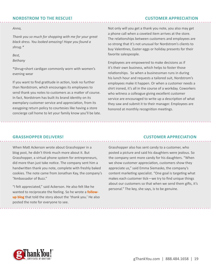#### **NORDSTROM TO THE RESCUE! CUSTOMER APPRECIATION**

#### *Anna*,

*Thank you so much for shopping with me for your great black dress. You looked amazing! Hope you found a* shrug.\*

Best, *Bethany* 

\*Shrug=short cardigan commonly worn with women's evening wear

If you want to find gratitude in action, look no further than Nordstrom, which encourages its employees to send thank you notes to customers as a matter of course. In fact, Nordstrom has built its brand identity on its exemplary customer service and appreciation, from its easygoing return policy to courtesies like having a store concierge call home to let your family know you'll be late.

Not only will you get a thank you note, you also may get a phone call when a coveted item arrives at the store. The relationships between customers and employees are so strong that it's not unusual for Nordstrom's clients to buy Valentines, Easter eggs or holiday presents for their favorite salespeople.

Employees are empowered to make decisions as if it's their own business, which helps to foster those relationships. So when a businessman runs in during his lunch hour and requests a tailored suit, Nordstrom's employees make it happen. Or when a customer needs a shirt ironed, it's all in the course of a workday. Coworkers who witness a colleague giving excellent customer service are encouraged to write up a description of what they saw and submit it to their manager. Employees are honored at monthly recognition meetings.

When Matt Ackerson wrote about Grasshopper in a blog post, he didn't think much more about it. But Grasshopper, a virtual phone system for entrepreneurs, did more than just take notice. The company sent him a handwritten thank you note, complete with freshly baked cookies. The note came from Jonathan Kay, the company's "Ambassador of Buzz."

"I felt appreciated," said Ackerson. He also felt like he wanted to reciprocate the feeling. So he wrote a **follow**up blog that told the story about the 'thank you.' He also posted the note for everyone to see.

#### **GRASSHOPPER DELIVERS! CUSTOMER APPRECIATION**

Grasshopper also has sent candy to a customer, who posted a picture and said his daughters were jealous. So the company sent more candy for his daughters. "When we show customer appreciation, customers show they appreciate us," said Emma Siemasko, the company's content marketing specialist. "One goal is targeting what makes each customer tick—we try to find unique things about our customers so that when we send them gifts, it's personal." The key, she says, is to be genuine.

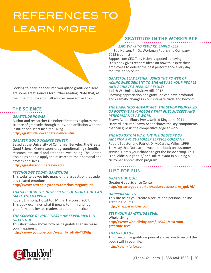# REFERENCES TO LEARN MORE



are some great sources for further reading. Note that, at the time of publication, all sources were active links.

### **THE SCIENCE**

#### **GRATITUDE POWER**

Author and researcher Dr. Robert Emmons explores the science of gratitude through study, and affiliation with the Institute for Heart Inspired Living.

http://gratitudepower.net/science.htm

#### **GREATER GOOD SCIENCE CENTER**

Based at the University of California, Berkeley, the Greater Good Science Center sponsors groundbreaking scientific research into social and emotional well-being. The Center also helps people apply the research to their personal and professional lives.

#### http://greatergood.berkeley.edu

#### PSYCHOLOGY TODAY: GRATITUDE

This website delves into many of the aspects of gratitude and related emotions.

http://www.psychologytoday.com/basics/gratitude

#### **THANKS! HOW THE NEW SCIENCE OF GRATITUDE CAN MAKE YOU HAPPIER**

Robert Emmons, Houghton Mifflin Harcourt, 2007. This book examines what it means to think and feel gratefully, and invites readers to put it in practice.

#### **THE SCIENCE OF HAPPINESS - AN EXPERIMENT IN GRATITUDE**

This short video shows how being grateful can increase vour happiness.

http://www.youtube.com/watch?v=oHv6vTKD6lg

#### **GRATITUDE IN THE WORKPLACE**

#### **1501 WAYS TO REWARD EMPLOYEES**

Bob Nelson, Ph.D., Workman Publishing Company, 2012 (reprint)

Zappos.com CEO Tony Hsieh is quoted as saying, "this book gives readers ideas on how to inspire their employees to deliver the best performance every dayfor little or no cost."

#### **GRATEFUL LEADERSHIP: USING THE POWER OF ACKNOWLEDGEMENT TO ENGAGE ALL YOUR PEOPLE** *EXAMPLE AND ACHIEVE SUPERIOR RESULTS*

Judith W. Umlas, McGraw Hill, 2012 Showing appreciation and gratitude can have profound and dramatic changes in our intimate circle and beyond.

#### **THE HAPPINESS ADVANTAGE: THE SEVEN PRINCIPLES** OF POSITIVE PSYCHOLOGY THAT FUEL SUCCESS AND **PERFORMANCE AT WORK**

Shawn Achor, Ebury Press, United Kingdom, 2011 Harvard lecturer Shawn Achor shares the key components that can give us the competitive edge at work.

#### **THE NORDSTOM WAY: THE INSIDE STORY OF AMERICA'S #1 CUSTOMER SERVICE COMPANY**

Robert Spector and Patrick D. McCarthy, Wiley, 1996 They say that Nordstrom wrote the book on customer service. Here's your chance to get the inside scoop. This is an 'oldie but goodie,' and still relevant in building a customer appreciation program.

### **JUST FOR FUN**

**GRATITUDE QUIZ** Greater Good Science Center http://greatergood.berkeley.edu/quizzes/take\_quiz/6/

#### $HAPPYRAMBLES$

This site helps you create a secure and personal online gratitude journal. http://happyrambles.com

#### **TEST YOUR GRATITUDE LEVEL**

Whole Living http://www.wholeliving.com/135624/test-yourgratitude-level

#### **THANKFULFOR**

This free online gratitude journal allows you to record the good stuff in your life.

#### http://thankfulfor.com